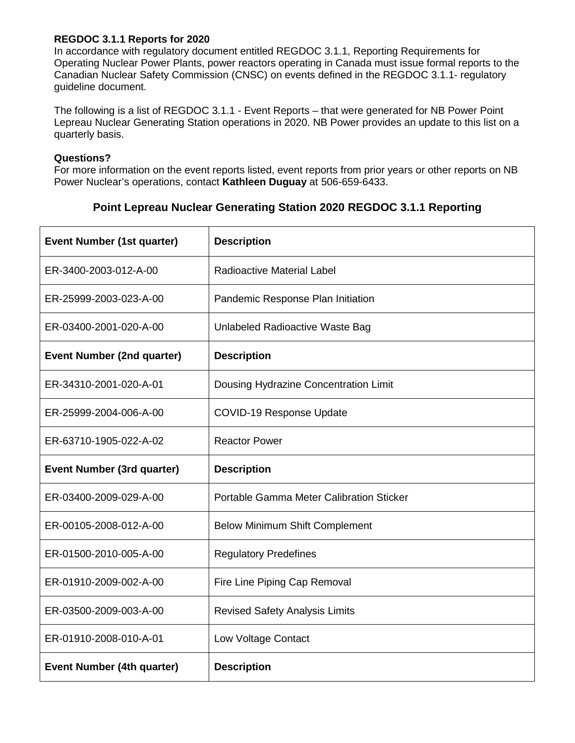## **REGDOC 3.1.1 Reports for 2020**

In accordance with regulatory document entitled REGDOC 3.1.1, Reporting Requirements for Operating Nuclear Power Plants, power reactors operating in Canada must issue formal reports to the Canadian Nuclear Safety Commission (CNSC) on events defined in the REGDOC 3.1.1- regulatory guideline document.

The following is a list of REGDOC 3.1.1 - Event Reports – that were generated for NB Power Point Lepreau Nuclear Generating Station operations in 2020. NB Power provides an update to this list on a quarterly basis.

## **Questions?**

For more information on the event reports listed, event reports from prior years or other reports on NB Power Nuclear's operations, contact **Kathleen Duguay** at 506-659-6433.

## **Point Lepreau Nuclear Generating Station 2020 REGDOC 3.1.1 Reporting**

| <b>Event Number (1st quarter)</b> | <b>Description</b>                       |
|-----------------------------------|------------------------------------------|
| ER-3400-2003-012-A-00             | <b>Radioactive Material Label</b>        |
| ER-25999-2003-023-A-00            | Pandemic Response Plan Initiation        |
| ER-03400-2001-020-A-00            | Unlabeled Radioactive Waste Bag          |
| <b>Event Number (2nd quarter)</b> | <b>Description</b>                       |
| ER-34310-2001-020-A-01            | Dousing Hydrazine Concentration Limit    |
| ER-25999-2004-006-A-00            | <b>COVID-19 Response Update</b>          |
| ER-63710-1905-022-A-02            | <b>Reactor Power</b>                     |
|                                   |                                          |
| <b>Event Number (3rd quarter)</b> | <b>Description</b>                       |
| ER-03400-2009-029-A-00            | Portable Gamma Meter Calibration Sticker |
| ER-00105-2008-012-A-00            | <b>Below Minimum Shift Complement</b>    |
| ER-01500-2010-005-A-00            | <b>Regulatory Predefines</b>             |
| ER-01910-2009-002-A-00            | Fire Line Piping Cap Removal             |
| ER-03500-2009-003-A-00            | <b>Revised Safety Analysis Limits</b>    |
| ER-01910-2008-010-A-01            | Low Voltage Contact                      |